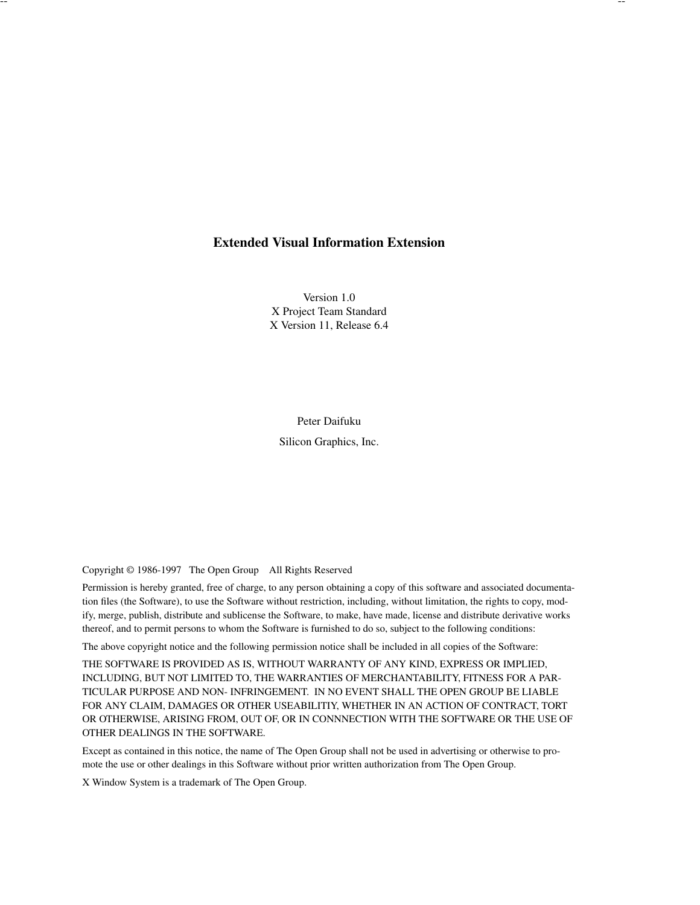# **Extended Visual Information Extension**

Version 1.0 X Project Team Standard X Version 11, Release 6.4

Peter Daifuku Silicon Graphics, Inc.

Copyright © 1986-1997 The Open Group All Rights Reserved

Permission is hereby granted, free of charge, to any person obtaining a copy of this software and associated documentation files (the Software), to use the Software without restriction, including, without limitation, the rights to copy, modify, merge, publish, distribute and sublicense the Software, to make, have made, license and distribute derivative works thereof, and to permit persons to whom the Software is furnished to do so, subject to the following conditions:

The above copyright notice and the following permission notice shall be included in all copies of the Software:

THE SOFTWARE IS PROVIDED AS IS, WITHOUT WARRANTY OF ANY KIND, EXPRESS OR IMPLIED, INCLUDING, BUT NOT LIMITED TO, THE WARRANTIES OF MERCHANTABILITY, FITNESS FOR A PAR-TICULAR PURPOSE AND NON- INFRINGEMENT. IN NO EVENT SHALL THE OPEN GROUP BE LIABLE FOR ANY CLAIM, DAMAGES OR OTHER USEABILITIY, WHETHER IN AN ACTION OF CONTRACT, TORT OR OTHERWISE, ARISING FROM, OUT OF, OR IN CONNNECTION WITH THE SOFTWARE OR THE USE OF OTHER DEALINGS IN THE SOFTWARE.

Except as contained in this notice, the name of The Open Group shall not be used in advertising or otherwise to promote the use or other dealings in this Software without prior written authorization from The Open Group.

X Window System is a trademark of The Open Group.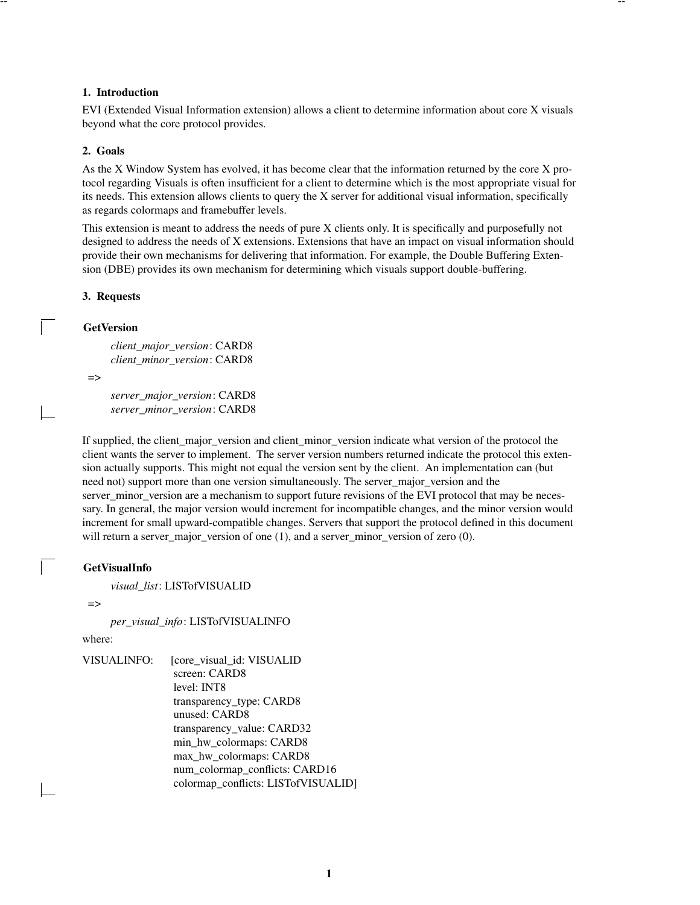# **1. Introduction**

EVI (Extended Visual Information extension) allows a client to determine information about core X visuals beyond what the core protocol provides.

-- --

# **2. Goals**

As the X Window System has evolved, it has become clear that the information returned by the core X protocol regarding Visuals is often insufficient for a client to determine which is the most appropriate visual for its needs. This extension allows clients to query the X server for additional visual information, specifically as regards colormaps and framebuffer levels.

This extension is meant to address the needs of pure X clients only. It is specifically and purposefully not designed to address the needs of X extensions. Extensions that have an impact on visual information should provide their own mechanisms for delivering that information. For example, the Double Buffering Extension (DBE) provides its own mechanism for determining which visuals support double-buffering.

# **3. Requests**

# **GetVersion**

*client\_major\_version*: CARD8 *client\_minor\_version*: CARD8

=>

*server\_major\_version*: CARD8 *server\_minor\_version*: CARD8

If supplied, the client\_major\_version and client\_minor\_version indicate what version of the protocol the client wants the server to implement. The server version numbers returned indicate the protocol this extension actually supports. This might not equal the version sent by the client. An implementation can (but need not) support more than one version simultaneously. The server\_major\_version and the server\_minor\_version are a mechanism to support future revisions of the EVI protocol that may be necessary. In general, the major version would increment for incompatible changes, and the minor version would increment for small upward-compatible changes. Servers that support the protocol defined in this document will return a server major version of one  $(1)$ , and a server minor version of zero  $(0)$ .

# **GetVisualInfo**

*visual\_list*: LISTofVISUALID

 $\Rightarrow$ 

*per\_visual\_info*: LISTofVISUALINFO

where:

| VISUALINFO: | [core_visual_id: VISUALID           |
|-------------|-------------------------------------|
|             | screen: CARD8                       |
|             | level: INT8                         |
|             | transparency_type: CARD8            |
|             | unused: CARD8                       |
|             | transparency_value: CARD32          |
|             | min_hw_colormaps: CARD8             |
|             | max_hw_colormaps: CARD8             |
|             | num_colormap_conflicts: CARD16      |
|             | colormap_conflicts: LISTofVISUALID] |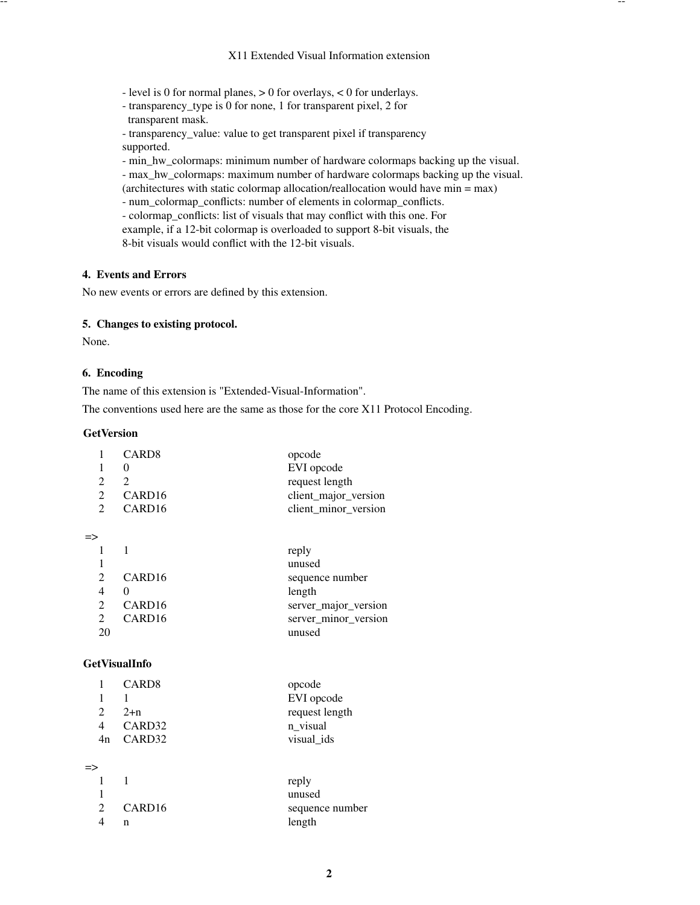-- --

- level is 0 for normal planes,  $> 0$  for overlays,  $< 0$  for underlays.
- transparency\_type is 0 for none, 1 for transparent pixel, 2 for transparent mask.
- transparency\_value: value to get transparent pixel if transparency supported.

- min\_hw\_colormaps: minimum number of hardware colormaps backing up the visual.

- max\_hw\_colormaps: maximum number of hardware colormaps backing up the visual.

- (architectures with static colormap allocation/reallocation would have min = max)
- num\_colormap\_conflicts: number of elements in colormap\_conflicts.

- colormap\_conflicts: list of visuals that may conflict with this one. For example, if a 12-bit colormap is overloaded to support 8-bit visuals, the 8-bit visuals would conflict with the 12-bit visuals.

### **4. Events and Errors**

No new events or errors are defined by this extension.

# **5. Changes to existing protocol.**

None.

### **6. Encoding**

The name of this extension is "Extended-Visual-Information".

The conventions used here are the same as those for the core X11 Protocol Encoding.

# **GetVersion**

 $=$ 

|                | CARD <sub>8</sub>  | opcode               |
|----------------|--------------------|----------------------|
|                | $\theta$           | EVI opcode           |
| 2              | 2                  | request length       |
| $\overline{2}$ | CARD <sub>16</sub> | client_major_version |
| $\mathfrak{D}$ | CARD <sub>16</sub> | client minor version |
|                |                    |                      |
|                |                    | reply                |
|                |                    | unused               |
| 2              | CARD <sub>16</sub> | sequence number      |
| 4              | 0                  | length               |
| 2              | CARD <sub>16</sub> | server_major_version |
| 2              | CARD <sub>16</sub> | server_minor_version |
| 20             |                    | unused               |

# **GetVisualInfo**

|    | CARD8              | opcode         |
|----|--------------------|----------------|
|    |                    | EVI opcode     |
|    | $2+n$              | request length |
|    | CARD <sub>32</sub> | n visual       |
| 4n | CARD32             | visual ids     |
|    |                    |                |

#### =>

|                             |                    | reply           |
|-----------------------------|--------------------|-----------------|
|                             |                    | unused          |
| $\mathcal{D}_{\mathcal{L}}$ | CARD <sub>16</sub> | sequence number |
|                             |                    | length          |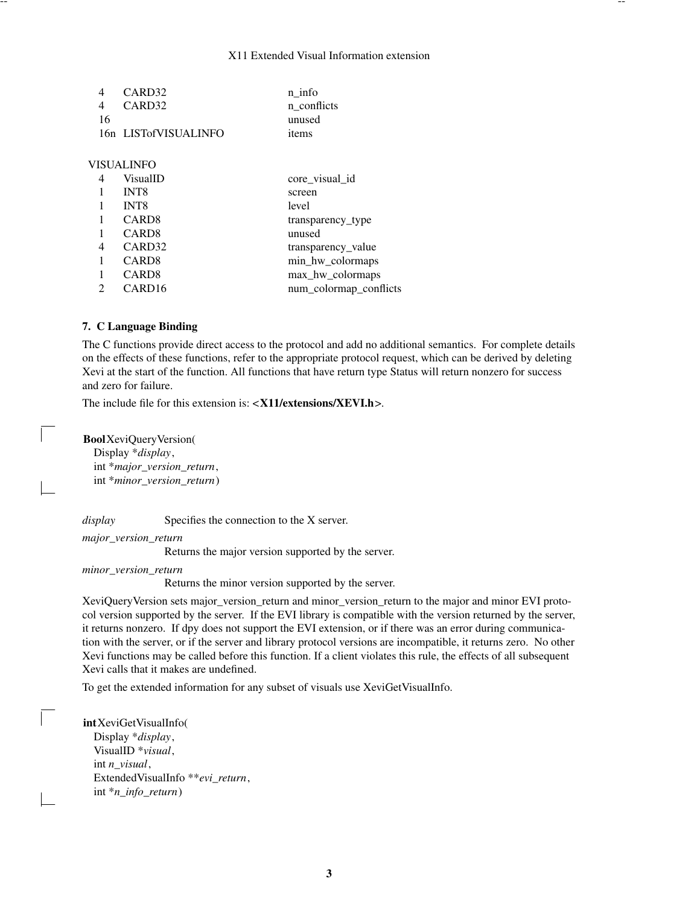#### X11 Extended Visual Information extension

| 4  | CARD <sub>32</sub>   | n info                 |
|----|----------------------|------------------------|
| 4  | CARD <sub>32</sub>   | n conflicts            |
| 16 |                      | unused                 |
|    | 16n LISTofVISUALINFO | items                  |
|    |                      |                        |
|    | VISUALINFO           |                        |
| 4  | VisualID             | core_visual_id         |
| 1  | INT <sub>8</sub>     | screen                 |
|    | <b>INT8</b>          | level                  |
| 1  | CARD <sub>8</sub>    | transparency type      |
|    | CARD <sub>8</sub>    | unused                 |
| 4  | CARD <sub>32</sub>   | transparency value     |
| 1  | CARD <sub>8</sub>    | min_hw_colormaps       |
|    | CARD <sub>8</sub>    | max_hw_colormaps       |
| 2  | CARD <sub>16</sub>   | num_colormap_conflicts |

### **7. C Language Binding**

The C functions provide direct access to the protocol and add no additional semantics. For complete details on the effects of these functions, refer to the appropriate protocol request, which can be derived by deleting Xevi at the start of the function. All functions that have return type Status will return nonzero for success and zero for failure.

The include file for this extension is: <**X11/extensions/XEVI.h**>.

**Bool**XeviQueryVersion(

Display \**display*, int \**major\_version\_return*, int \**minor\_version\_return*)

*display* Specifies the connection to the X server.

*major\_version\_return*

Returns the major version supported by the server.

*minor\_version\_return*

Returns the minor version supported by the server.

XeviQueryVersion sets major\_version\_return and minor\_version\_return to the major and minor EVI protocol version supported by the server. If the EVI library is compatible with the version returned by the server, it returns nonzero. If dpy does not support the EVI extension, or if there was an error during communication with the server, or if the server and library protocol versions are incompatible, it returns zero. No other Xevi functions may be called before this function. If a client violates this rule, the effects of all subsequent Xevi calls that it makes are undefined.

To get the extended information for any subset of visuals use XeviGetVisualInfo.

**int**XeviGetVisualInfo( Display \**display*, VisualID \**visual*, int *n\_visual*, ExtendedVisualInfo \*\**evi\_return*, int \**n\_info\_return*)